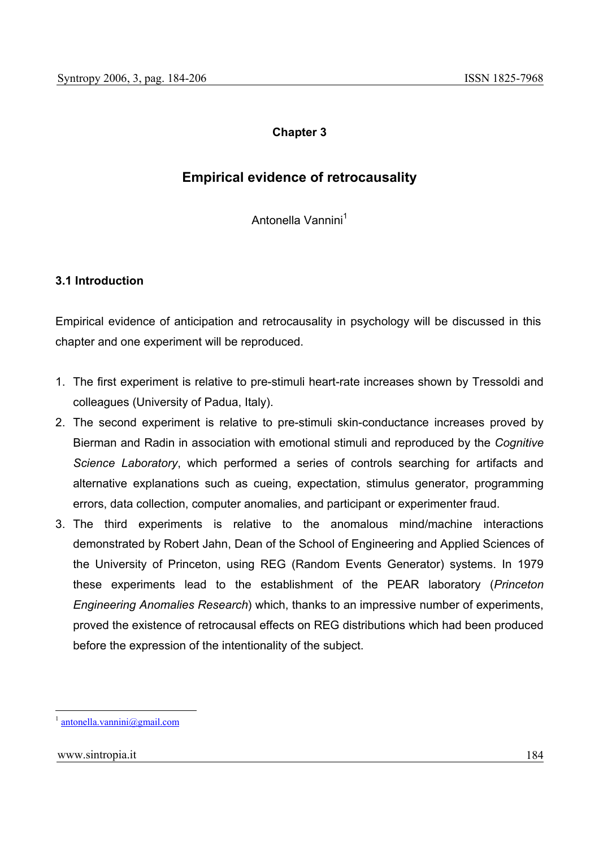# **Chapter 3**

# **Empirical evidence of retrocausality**

Antonella Vannini<sup>1</sup>

## **3.1 Introduction**

Empirical evidence of anticipation and retrocausality in psychology will be discussed in this chapter and one experiment will be reproduced.

- 1. The first experiment is relative to pre-stimuli heart-rate increases shown by Tressoldi and colleagues (University of Padua, Italy).
- 2. The second experiment is relative to pre-stimuli skin-conductance increases proved by Bierman and Radin in association with emotional stimuli and reproduced by the *Cognitive Science Laboratory*, which performed a series of controls searching for artifacts and alternative explanations such as cueing, expectation, stimulus generator, programming errors, data collection, computer anomalies, and participant or experimenter fraud.
- 3. The third experiments is relative to the anomalous mind/machine interactions demonstrated by Robert Jahn, Dean of the School of Engineering and Applied Sciences of the University of Princeton, using REG (Random Events Generator) systems. In 1979 these experiments lead to the establishment of the PEAR laboratory (*Princeton Engineering Anomalies Research*) which, thanks to an impressive number of experiments, proved the existence of retrocausal effects on REG distributions which had been produced before the expression of the intentionality of the subject.

l

antonella.vannini@gmail.com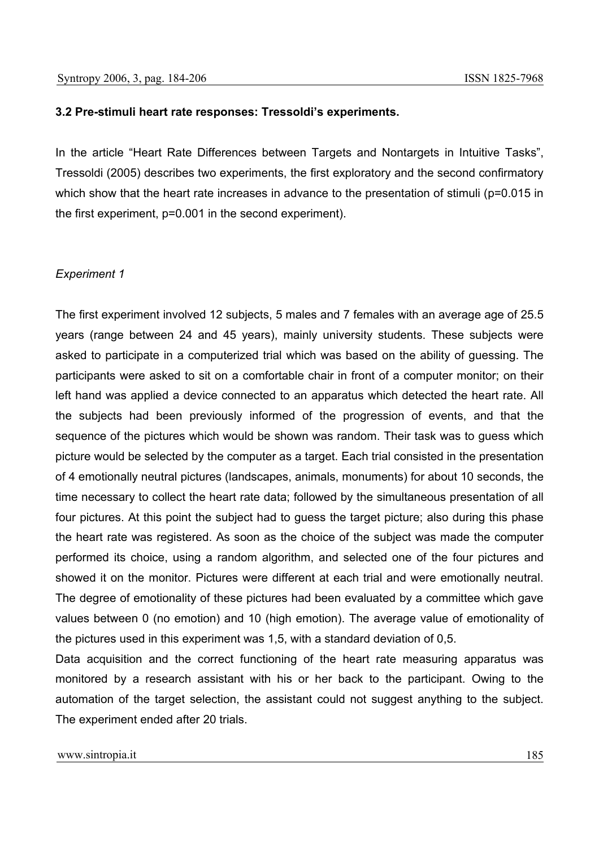#### **3.2 Pre-stimuli heart rate responses: Tressoldi's experiments.**

In the article "Heart Rate Differences between Targets and Nontargets in Intuitive Tasks", Tressoldi (2005) describes two experiments, the first exploratory and the second confirmatory which show that the heart rate increases in advance to the presentation of stimuli (p=0.015 in the first experiment, p=0.001 in the second experiment).

#### *Experiment 1*

The first experiment involved 12 subjects, 5 males and 7 females with an average age of 25.5 years (range between 24 and 45 years), mainly university students. These subjects were asked to participate in a computerized trial which was based on the ability of guessing. The participants were asked to sit on a comfortable chair in front of a computer monitor; on their left hand was applied a device connected to an apparatus which detected the heart rate. All the subjects had been previously informed of the progression of events, and that the sequence of the pictures which would be shown was random. Their task was to guess which picture would be selected by the computer as a target. Each trial consisted in the presentation of 4 emotionally neutral pictures (landscapes, animals, monuments) for about 10 seconds, the time necessary to collect the heart rate data; followed by the simultaneous presentation of all four pictures. At this point the subject had to guess the target picture; also during this phase the heart rate was registered. As soon as the choice of the subject was made the computer performed its choice, using a random algorithm, and selected one of the four pictures and showed it on the monitor. Pictures were different at each trial and were emotionally neutral. The degree of emotionality of these pictures had been evaluated by a committee which gave values between 0 (no emotion) and 10 (high emotion). The average value of emotionality of the pictures used in this experiment was 1,5, with a standard deviation of 0,5.

Data acquisition and the correct functioning of the heart rate measuring apparatus was monitored by a research assistant with his or her back to the participant. Owing to the automation of the target selection, the assistant could not suggest anything to the subject. The experiment ended after 20 trials.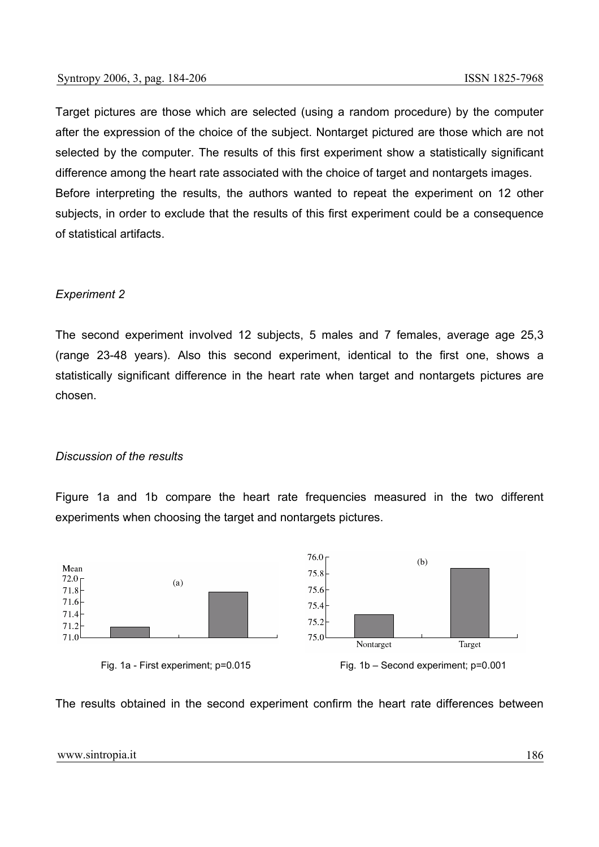Target pictures are those which are selected (using a random procedure) by the computer after the expression of the choice of the subject. Nontarget pictured are those which are not selected by the computer. The results of this first experiment show a statistically significant difference among the heart rate associated with the choice of target and nontargets images. Before interpreting the results, the authors wanted to repeat the experiment on 12 other subjects, in order to exclude that the results of this first experiment could be a consequence of statistical artifacts.

## *Experiment 2*

The second experiment involved 12 subjects, 5 males and 7 females, average age 25,3 (range 23-48 years). Also this second experiment, identical to the first one, shows a statistically significant difference in the heart rate when target and nontargets pictures are chosen.

### *Discussion of the results*

Figure 1a and 1b compare the heart rate frequencies measured in the two different experiments when choosing the target and nontargets pictures.







The results obtained in the second experiment confirm the heart rate differences between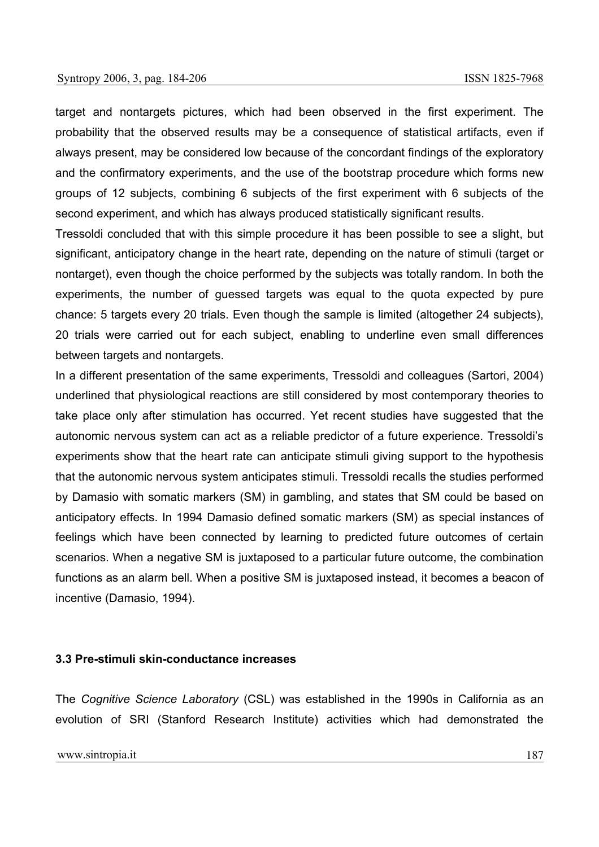target and nontargets pictures, which had been observed in the first experiment. The probability that the observed results may be a consequence of statistical artifacts, even if always present, may be considered low because of the concordant findings of the exploratory and the confirmatory experiments, and the use of the bootstrap procedure which forms new groups of 12 subjects, combining 6 subjects of the first experiment with 6 subjects of the second experiment, and which has always produced statistically significant results.

Tressoldi concluded that with this simple procedure it has been possible to see a slight, but significant, anticipatory change in the heart rate, depending on the nature of stimuli (target or nontarget), even though the choice performed by the subjects was totally random. In both the experiments, the number of guessed targets was equal to the quota expected by pure chance: 5 targets every 20 trials. Even though the sample is limited (altogether 24 subjects), 20 trials were carried out for each subject, enabling to underline even small differences between targets and nontargets.

In a different presentation of the same experiments, Tressoldi and colleagues (Sartori, 2004) underlined that physiological reactions are still considered by most contemporary theories to take place only after stimulation has occurred. Yet recent studies have suggested that the autonomic nervous system can act as a reliable predictor of a future experience. Tressoldi's experiments show that the heart rate can anticipate stimuli giving support to the hypothesis that the autonomic nervous system anticipates stimuli. Tressoldi recalls the studies performed by Damasio with somatic markers (SM) in gambling, and states that SM could be based on anticipatory effects. In 1994 Damasio defined somatic markers (SM) as special instances of feelings which have been connected by learning to predicted future outcomes of certain scenarios. When a negative SM is juxtaposed to a particular future outcome, the combination functions as an alarm bell. When a positive SM is juxtaposed instead, it becomes a beacon of incentive (Damasio, 1994).

#### **3.3 Pre-stimuli skin-conductance increases**

The *Cognitive Science Laboratory* (CSL) was established in the 1990s in California as an evolution of SRI (Stanford Research Institute) activities which had demonstrated the

www.sintropia.it 187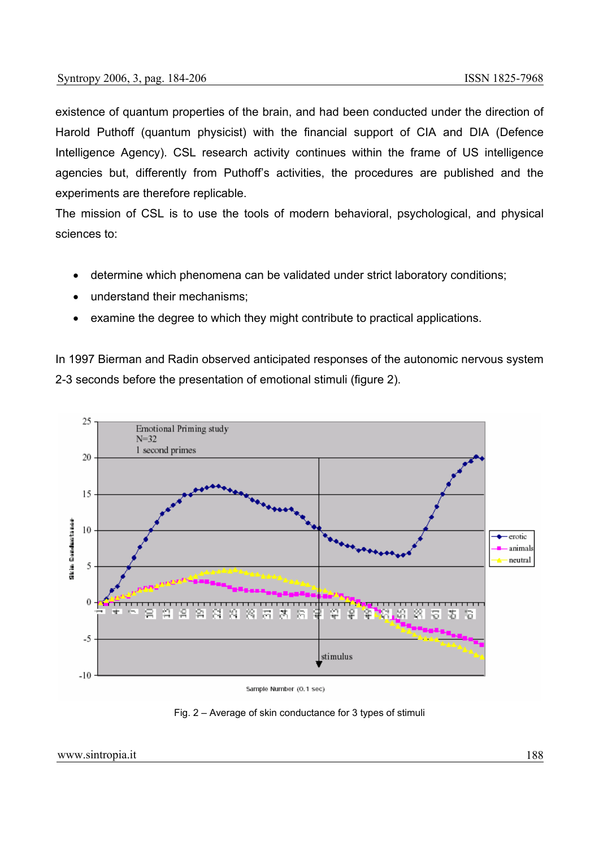existence of quantum properties of the brain, and had been conducted under the direction of Harold Puthoff (quantum physicist) with the financial support of CIA and DIA (Defence Intelligence Agency). CSL research activity continues within the frame of US intelligence agencies but, differently from Puthoff's activities, the procedures are published and the experiments are therefore replicable.

The mission of CSL is to use the tools of modern behavioral, psychological, and physical sciences to:

- determine which phenomena can be validated under strict laboratory conditions;
- understand their mechanisms;
- examine the degree to which they might contribute to practical applications.

In 1997 Bierman and Radin observed anticipated responses of the autonomic nervous system 2-3 seconds before the presentation of emotional stimuli (figure 2).



Sample Number (0.1 sec)

Fig. 2 – Average of skin conductance for 3 types of stimuli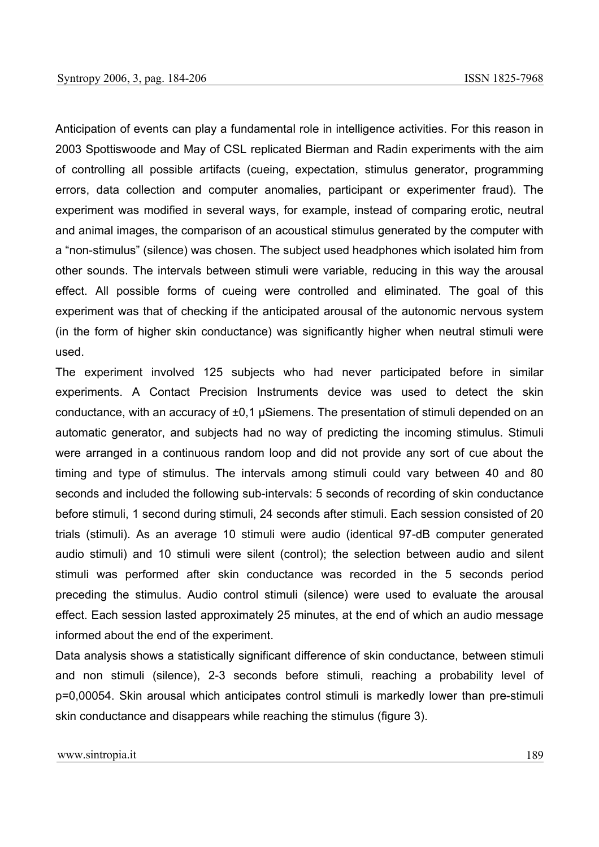Anticipation of events can play a fundamental role in intelligence activities. For this reason in 2003 Spottiswoode and May of CSL replicated Bierman and Radin experiments with the aim of controlling all possible artifacts (cueing, expectation, stimulus generator, programming errors, data collection and computer anomalies, participant or experimenter fraud). The experiment was modified in several ways, for example, instead of comparing erotic, neutral and animal images, the comparison of an acoustical stimulus generated by the computer with a "non-stimulus" (silence) was chosen. The subject used headphones which isolated him from other sounds. The intervals between stimuli were variable, reducing in this way the arousal effect. All possible forms of cueing were controlled and eliminated. The goal of this experiment was that of checking if the anticipated arousal of the autonomic nervous system (in the form of higher skin conductance) was significantly higher when neutral stimuli were used.

The experiment involved 125 subjects who had never participated before in similar experiments. A Contact Precision Instruments device was used to detect the skin conductance, with an accuracy of ±0,1 µSiemens. The presentation of stimuli depended on an automatic generator, and subjects had no way of predicting the incoming stimulus. Stimuli were arranged in a continuous random loop and did not provide any sort of cue about the timing and type of stimulus. The intervals among stimuli could vary between 40 and 80 seconds and included the following sub-intervals: 5 seconds of recording of skin conductance before stimuli, 1 second during stimuli, 24 seconds after stimuli. Each session consisted of 20 trials (stimuli). As an average 10 stimuli were audio (identical 97-dB computer generated audio stimuli) and 10 stimuli were silent (control); the selection between audio and silent stimuli was performed after skin conductance was recorded in the 5 seconds period preceding the stimulus. Audio control stimuli (silence) were used to evaluate the arousal effect. Each session lasted approximately 25 minutes, at the end of which an audio message informed about the end of the experiment.

Data analysis shows a statistically significant difference of skin conductance, between stimuli and non stimuli (silence), 2-3 seconds before stimuli, reaching a probability level of p=0,00054. Skin arousal which anticipates control stimuli is markedly lower than pre-stimuli skin conductance and disappears while reaching the stimulus (figure 3).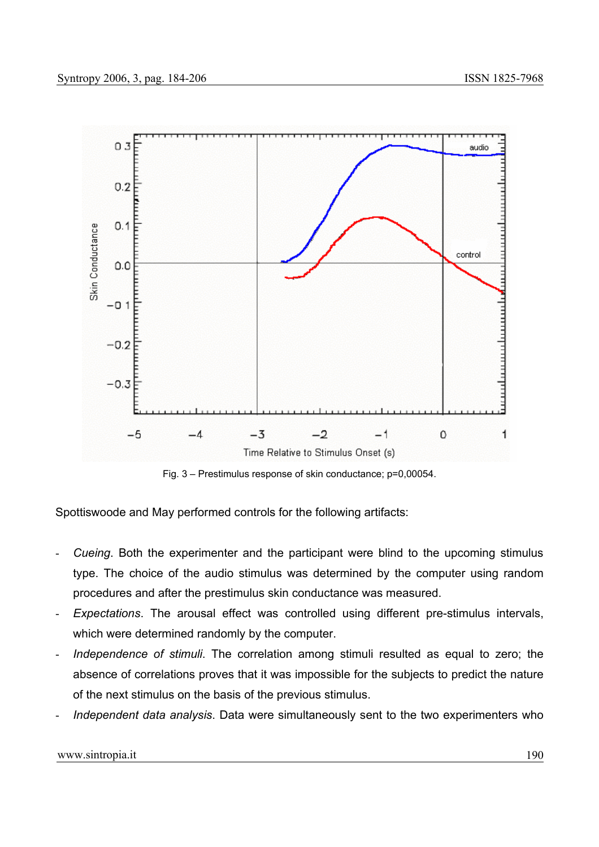

Fig. 3 – Prestimulus response of skin conductance; p=0,00054.

Spottiswoode and May performed controls for the following artifacts:

- *Cueing*. Both the experimenter and the participant were blind to the upcoming stimulus type. The choice of the audio stimulus was determined by the computer using random procedures and after the prestimulus skin conductance was measured.
- *Expectations*. The arousal effect was controlled using different pre-stimulus intervals, which were determined randomly by the computer.
- *Independence of stimuli*. The correlation among stimuli resulted as equal to zero; the absence of correlations proves that it was impossible for the subjects to predict the nature of the next stimulus on the basis of the previous stimulus.
- *Independent data analysis*. Data were simultaneously sent to the two experimenters who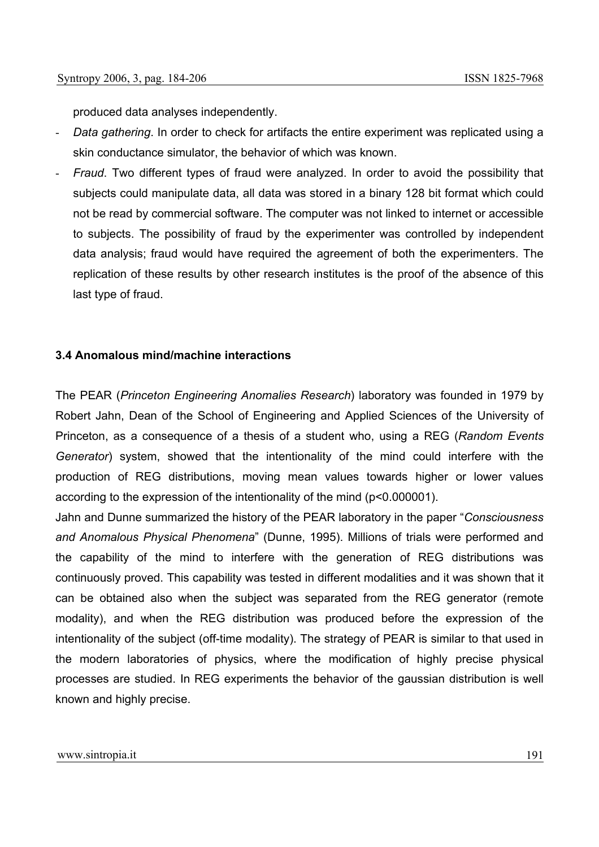produced data analyses independently.

- *Data gathering*. In order to check for artifacts the entire experiment was replicated using a skin conductance simulator, the behavior of which was known.
- *Fraud*. Two different types of fraud were analyzed. In order to avoid the possibility that subjects could manipulate data, all data was stored in a binary 128 bit format which could not be read by commercial software. The computer was not linked to internet or accessible to subjects. The possibility of fraud by the experimenter was controlled by independent data analysis; fraud would have required the agreement of both the experimenters. The replication of these results by other research institutes is the proof of the absence of this last type of fraud.

### **3.4 Anomalous mind/machine interactions**

The PEAR (*Princeton Engineering Anomalies Research*) laboratory was founded in 1979 by Robert Jahn, Dean of the School of Engineering and Applied Sciences of the University of Princeton, as a consequence of a thesis of a student who, using a REG (*Random Events Generator*) system, showed that the intentionality of the mind could interfere with the production of REG distributions, moving mean values towards higher or lower values according to the expression of the intentionality of the mind (p<0.000001).

Jahn and Dunne summarized the history of the PEAR laboratory in the paper "*Consciousness and Anomalous Physical Phenomena*" (Dunne, 1995). Millions of trials were performed and the capability of the mind to interfere with the generation of REG distributions was continuously proved. This capability was tested in different modalities and it was shown that it can be obtained also when the subject was separated from the REG generator (remote modality), and when the REG distribution was produced before the expression of the intentionality of the subject (off-time modality). The strategy of PEAR is similar to that used in the modern laboratories of physics, where the modification of highly precise physical processes are studied. In REG experiments the behavior of the gaussian distribution is well known and highly precise.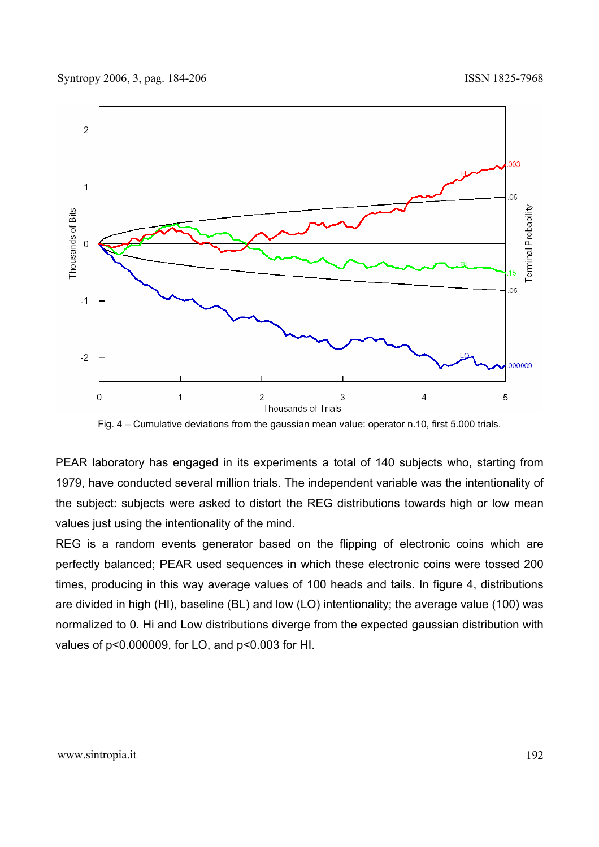

Fig. 4 – Cumulative deviations from the gaussian mean value: operator n.10, first 5.000 trials.

PEAR laboratory has engaged in its experiments a total of 140 subjects who, starting from 1979, have conducted several million trials. The independent variable was the intentionality of the subject: subjects were asked to distort the REG distributions towards high or low mean values just using the intentionality of the mind.

REG is a random events generator based on the flipping of electronic coins which are perfectly balanced; PEAR used sequences in which these electronic coins were tossed 200 times, producing in this way average values of 100 heads and tails. In figure 4, distributions are divided in high (HI), baseline (BL) and low (LO) intentionality; the average value (100) was normalized to 0. Hi and Low distributions diverge from the expected gaussian distribution with values of p<0.000009, for LO, and p<0.003 for HI.

#### www.sintropia.it 192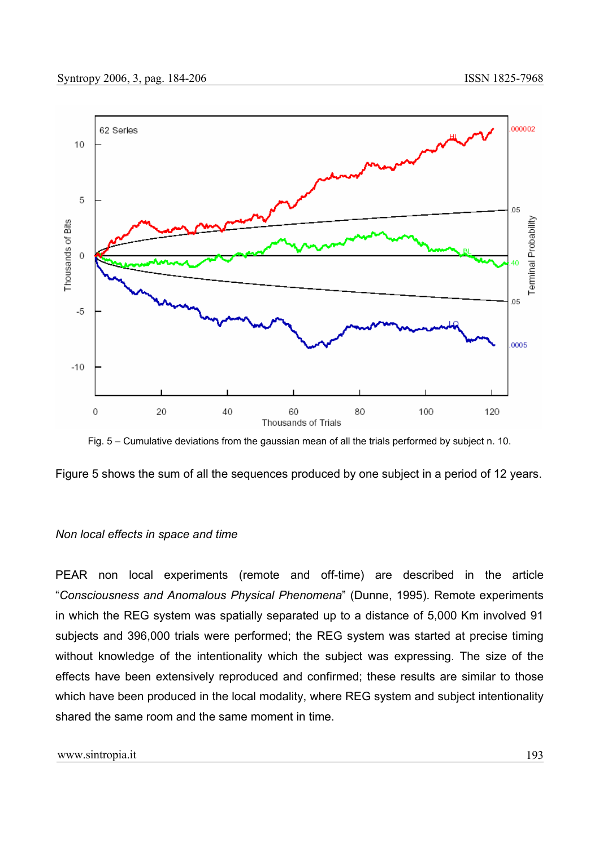

Fig. 5 – Cumulative deviations from the gaussian mean of all the trials performed by subject n. 10.

Figure 5 shows the sum of all the sequences produced by one subject in a period of 12 years.

#### *Non local effects in space and time*

PEAR non local experiments (remote and off-time) are described in the article "*Consciousness and Anomalous Physical Phenomena*" (Dunne, 1995). Remote experiments in which the REG system was spatially separated up to a distance of 5,000 Km involved 91 subjects and 396,000 trials were performed; the REG system was started at precise timing without knowledge of the intentionality which the subject was expressing. The size of the effects have been extensively reproduced and confirmed; these results are similar to those which have been produced in the local modality, where REG system and subject intentionality shared the same room and the same moment in time.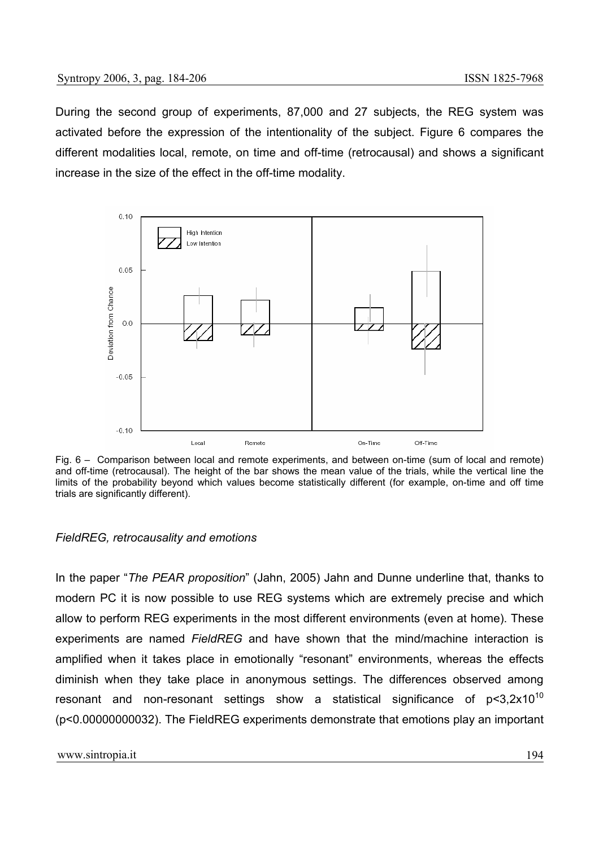During the second group of experiments, 87,000 and 27 subjects, the REG system was activated before the expression of the intentionality of the subject. Figure 6 compares the different modalities local, remote, on time and off-time (retrocausal) and shows a significant increase in the size of the effect in the off-time modality.



Fig. 6 – Comparison between local and remote experiments, and between on-time (sum of local and remote) and off-time (retrocausal). The height of the bar shows the mean value of the trials, while the vertical line the limits of the probability beyond which values become statistically different (for example, on-time and off time trials are significantly different).

#### *FieldREG, retrocausality and emotions*

In the paper "*The PEAR proposition*" (Jahn, 2005) Jahn and Dunne underline that, thanks to modern PC it is now possible to use REG systems which are extremely precise and which allow to perform REG experiments in the most different environments (even at home). These experiments are named *FieldREG* and have shown that the mind/machine interaction is amplified when it takes place in emotionally "resonant" environments, whereas the effects diminish when they take place in anonymous settings. The differences observed among resonant and non-resonant settings show a statistical significance of  $p<3.2x10^{10}$ (p<0.00000000032). The FieldREG experiments demonstrate that emotions play an important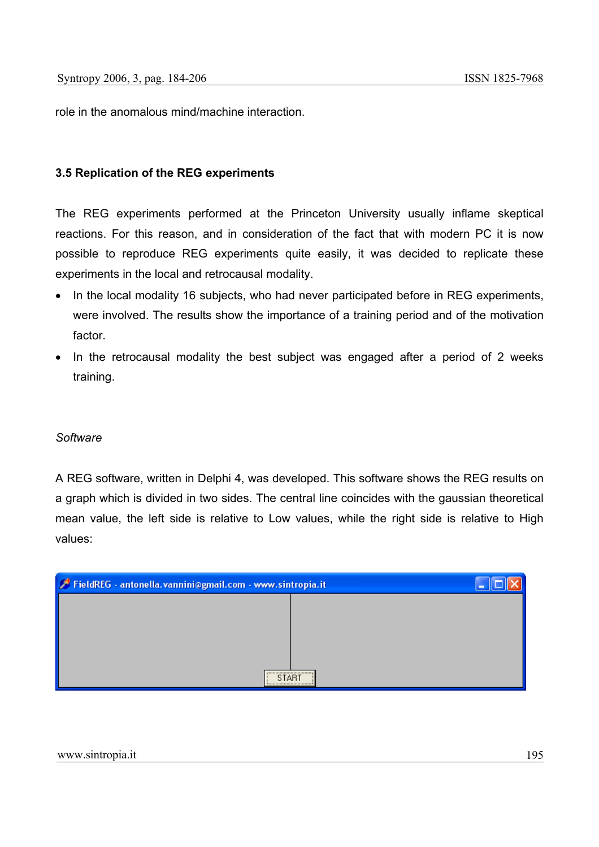role in the anomalous mind/machine interaction.

### **3.5 Replication of the REG experiments**

The REG experiments performed at the Princeton University usually inflame skeptical reactions. For this reason, and in consideration of the fact that with modern PC it is now possible to reproduce REG experiments quite easily, it was decided to replicate these experiments in the local and retrocausal modality.

- In the local modality 16 subjects, who had never participated before in REG experiments, were involved. The results show the importance of a training period and of the motivation factor.
- In the retrocausal modality the best subject was engaged after a period of 2 weeks training.

#### *Software*

A REG software, written in Delphi 4, was developed. This software shows the REG results on a graph which is divided in two sides. The central line coincides with the gaussian theoretical mean value, the left side is relative to Low values, while the right side is relative to High values:

| FieldREG - antonella.vannini@gmail.com - www.sintropia.it |  |  |
|-----------------------------------------------------------|--|--|
|                                                           |  |  |
|                                                           |  |  |
|                                                           |  |  |
|                                                           |  |  |
| <br><b>START</b><br>,,,,,,,,,,,,,,,,,,,,,,,,,,,,,,,,      |  |  |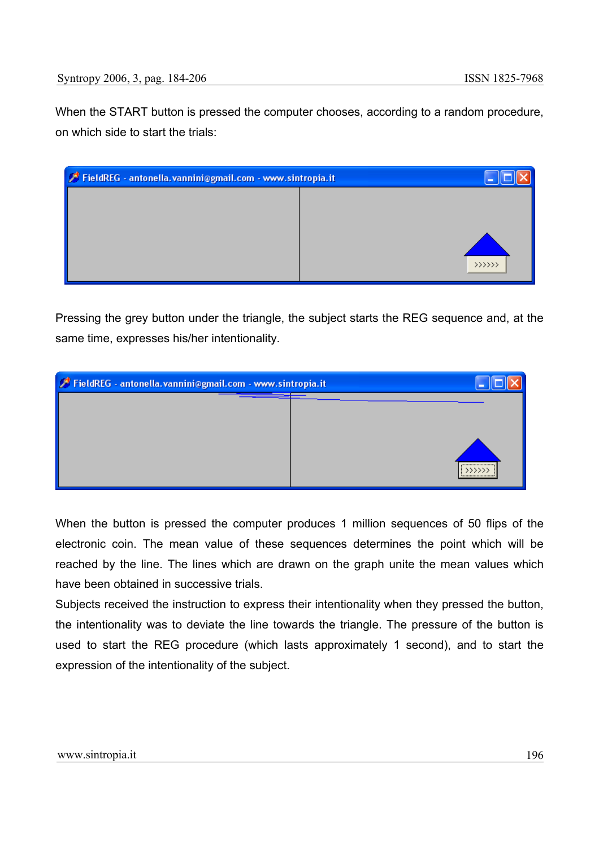When the START button is pressed the computer chooses, according to a random procedure, on which side to start the trials:

| FieldREG - antonella.vannini@gmail.com - www.sintropia.it |         |
|-----------------------------------------------------------|---------|
|                                                           |         |
|                                                           |         |
|                                                           | >>>>>>> |
|                                                           |         |

Pressing the grey button under the triangle, the subject starts the REG sequence and, at the same time, expresses his/her intentionality.

| FieldREG - antonella.vannini@gmail.com - www.sintropia.it |                                               |
|-----------------------------------------------------------|-----------------------------------------------|
|                                                           |                                               |
|                                                           |                                               |
|                                                           |                                               |
|                                                           | ,,,,,,,,,,,,,,,,,,,,,,,<br>$\rightarrow$ >>>> |
|                                                           | ,,,,,,,,,,,,,,,,,,,,,,,,                      |

When the button is pressed the computer produces 1 million sequences of 50 flips of the electronic coin. The mean value of these sequences determines the point which will be reached by the line. The lines which are drawn on the graph unite the mean values which have been obtained in successive trials.

Subjects received the instruction to express their intentionality when they pressed the button, the intentionality was to deviate the line towards the triangle. The pressure of the button is used to start the REG procedure (which lasts approximately 1 second), and to start the expression of the intentionality of the subject.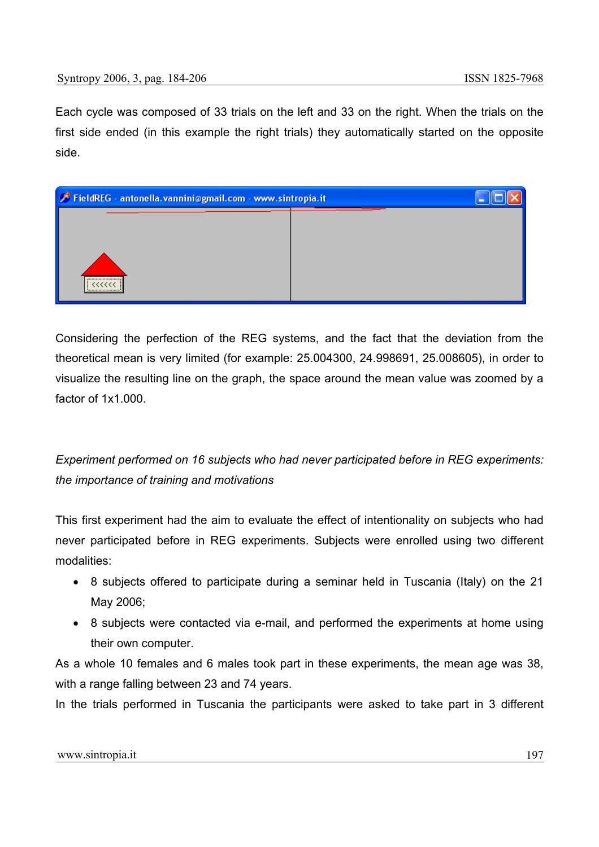Each cycle was composed of 33 trials on the left and 33 on the right. When the trials on the first side ended (in this example the right trials) they automatically started on the opposite side.



Considering the perfection of the REG systems, and the fact that the deviation from the theoretical mean is very limited (for example: 25.004300, 24.998691, 25.008605), in order to visualize the resulting line on the graph, the space around the mean value was zoomed by a factor of 1x1.000.

*Experiment performed on 16 subjects who had never participated before in REG experiments: the importance of training and motivations* 

This first experiment had the aim to evaluate the effect of intentionality on subjects who had never participated before in REG experiments. Subjects were enrolled using two different modalities:

- 8 subjects offered to participate during a seminar held in Tuscania (Italy) on the 21 May 2006;
- 8 subjects were contacted via e-mail, and performed the experiments at home using their own computer.

As a whole 10 females and 6 males took part in these experiments, the mean age was 38, with a range falling between 23 and 74 years.

In the trials performed in Tuscania the participants were asked to take part in 3 different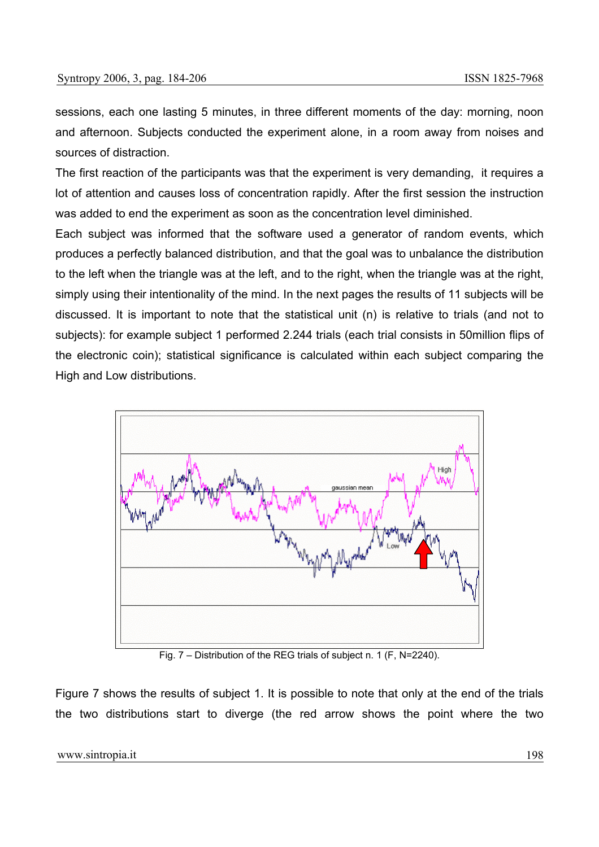sessions, each one lasting 5 minutes, in three different moments of the day: morning, noon and afternoon. Subjects conducted the experiment alone, in a room away from noises and sources of distraction.

The first reaction of the participants was that the experiment is very demanding, it requires a lot of attention and causes loss of concentration rapidly. After the first session the instruction was added to end the experiment as soon as the concentration level diminished.

Each subject was informed that the software used a generator of random events, which produces a perfectly balanced distribution, and that the goal was to unbalance the distribution to the left when the triangle was at the left, and to the right, when the triangle was at the right, simply using their intentionality of the mind. In the next pages the results of 11 subjects will be discussed. It is important to note that the statistical unit (n) is relative to trials (and not to subjects): for example subject 1 performed 2.244 trials (each trial consists in 50million flips of the electronic coin); statistical significance is calculated within each subject comparing the High and Low distributions.



Fig. 7 – Distribution of the REG trials of subject n. 1 (F, N=2240).

Figure 7 shows the results of subject 1. It is possible to note that only at the end of the trials the two distributions start to diverge (the red arrow shows the point where the two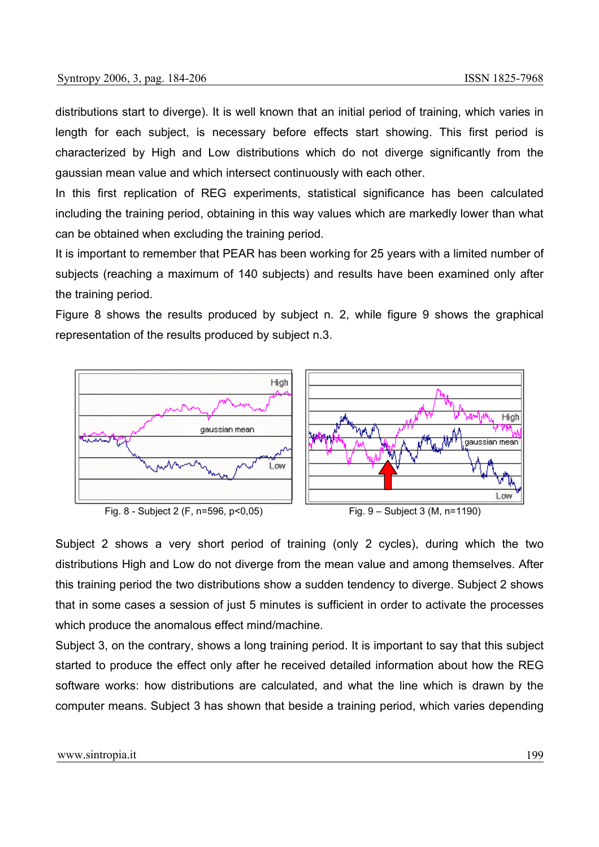distributions start to diverge). It is well known that an initial period of training, which varies in length for each subject, is necessary before effects start showing. This first period is characterized by High and Low distributions which do not diverge significantly from the gaussian mean value and which intersect continuously with each other.

In this first replication of REG experiments, statistical significance has been calculated including the training period, obtaining in this way values which are markedly lower than what can be obtained when excluding the training period.

It is important to remember that PEAR has been working for 25 years with a limited number of subjects (reaching a maximum of 140 subjects) and results have been examined only after the training period.

Figure 8 shows the results produced by subject n. 2, while figure 9 shows the graphical representation of the results produced by subject n.3.



Subject 2 shows a very short period of training (only 2 cycles), during which the two distributions High and Low do not diverge from the mean value and among themselves. After this training period the two distributions show a sudden tendency to diverge. Subject 2 shows that in some cases a session of just 5 minutes is sufficient in order to activate the processes which produce the anomalous effect mind/machine.

Subject 3, on the contrary, shows a long training period. It is important to say that this subject started to produce the effect only after he received detailed information about how the REG software works: how distributions are calculated, and what the line which is drawn by the computer means. Subject 3 has shown that beside a training period, which varies depending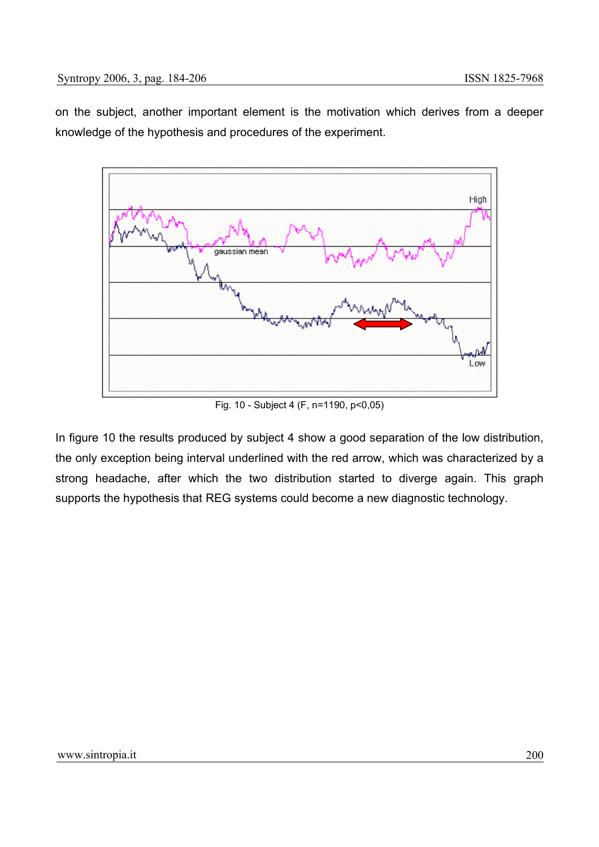on the subject, another important element is the motivation which derives from a deeper knowledge of the hypothesis and procedures of the experiment.



Fig. 10 - Subject 4 (F, n=1190, p<0,05)

In figure 10 the results produced by subject 4 show a good separation of the low distribution, the only exception being interval underlined with the red arrow, which was characterized by a strong headache, after which the two distribution started to diverge again. This graph supports the hypothesis that REG systems could become a new diagnostic technology.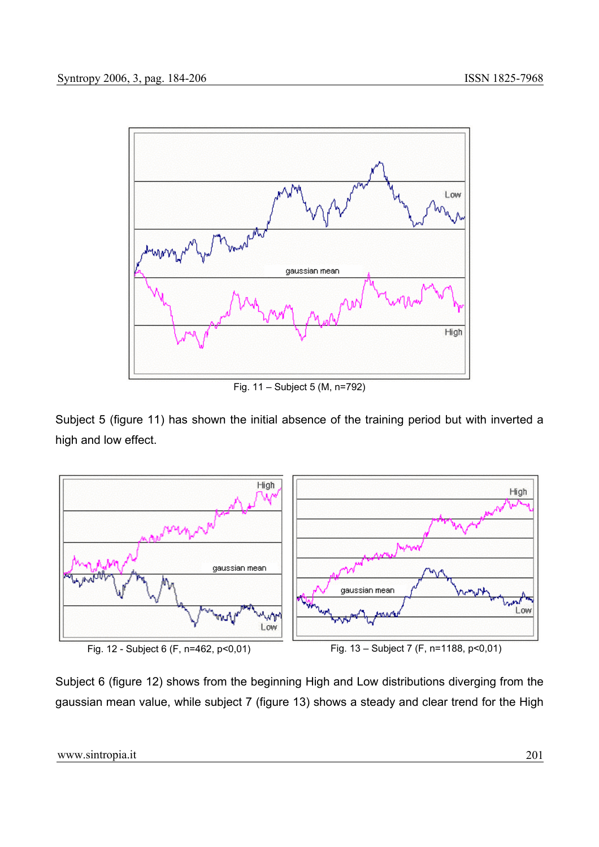

Fig. 11 – Subject 5 (M, n=792)

Subject 5 (figure 11) has shown the initial absence of the training period but with inverted a high and low effect.



Subject 6 (figure 12) shows from the beginning High and Low distributions diverging from the gaussian mean value, while subject 7 (figure 13) shows a steady and clear trend for the High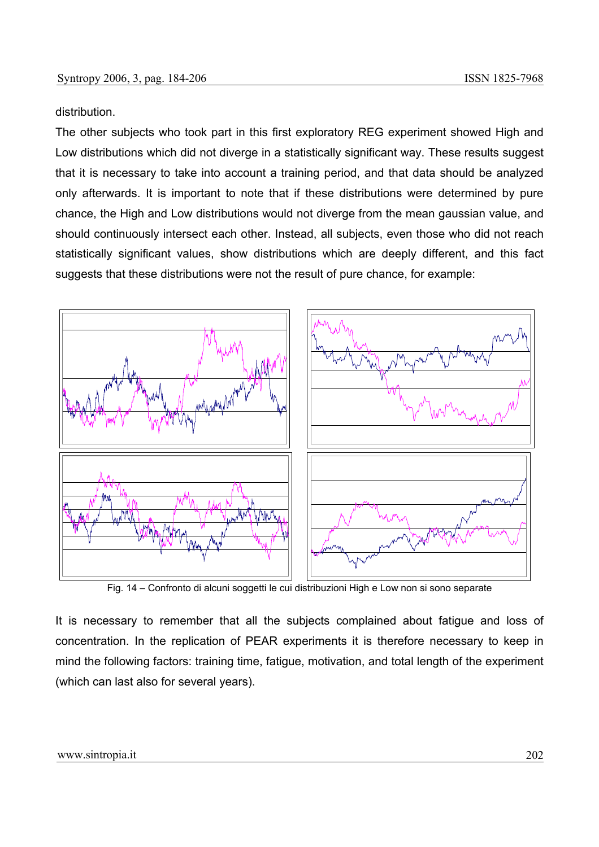#### distribution.

The other subjects who took part in this first exploratory REG experiment showed High and Low distributions which did not diverge in a statistically significant way. These results suggest that it is necessary to take into account a training period, and that data should be analyzed only afterwards. It is important to note that if these distributions were determined by pure chance, the High and Low distributions would not diverge from the mean gaussian value, and should continuously intersect each other. Instead, all subjects, even those who did not reach statistically significant values, show distributions which are deeply different, and this fact suggests that these distributions were not the result of pure chance, for example:



Fig. 14 – Confronto di alcuni soggetti le cui distribuzioni High e Low non si sono separate

It is necessary to remember that all the subjects complained about fatigue and loss of concentration. In the replication of PEAR experiments it is therefore necessary to keep in mind the following factors: training time, fatigue, motivation, and total length of the experiment (which can last also for several years).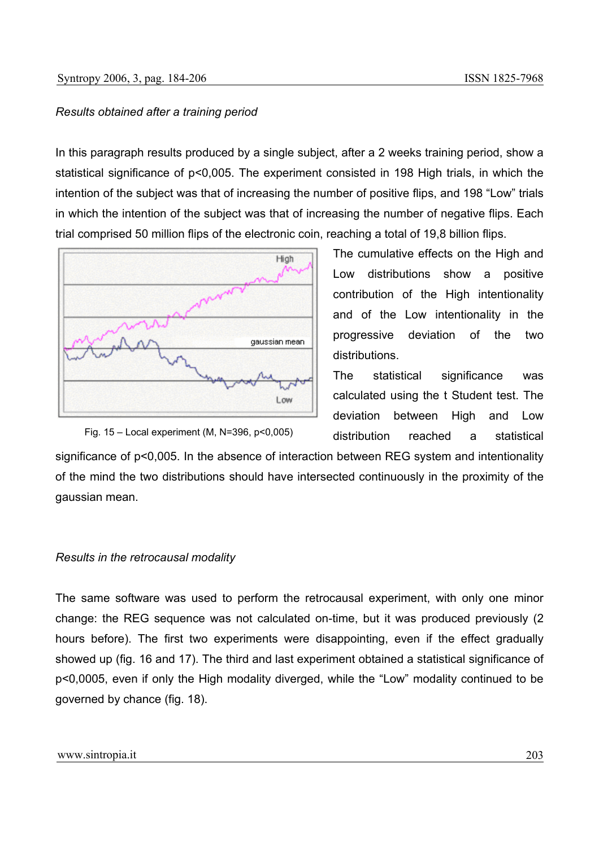#### *Results obtained after a training period*

In this paragraph results produced by a single subject, after a 2 weeks training period, show a statistical significance of p<0,005. The experiment consisted in 198 High trials, in which the intention of the subject was that of increasing the number of positive flips, and 198 "Low" trials in which the intention of the subject was that of increasing the number of negative flips. Each trial comprised 50 million flips of the electronic coin, reaching a total of 19,8 billion flips.



The cumulative effects on the High and Low distributions show a positive contribution of the High intentionality and of the Low intentionality in the progressive deviation of the two distributions.

The statistical significance was calculated using the t Student test. The deviation between High and Low distribution reached a statistical

Fig. 15 – Local experiment (M, N=396, p<0,005)

significance of  $p$ <0,005. In the absence of interaction between REG system and intentionality of the mind the two distributions should have intersected continuously in the proximity of the gaussian mean.

#### *Results in the retrocausal modality*

The same software was used to perform the retrocausal experiment, with only one minor change: the REG sequence was not calculated on-time, but it was produced previously (2 hours before). The first two experiments were disappointing, even if the effect gradually showed up (fig. 16 and 17). The third and last experiment obtained a statistical significance of p<0,0005, even if only the High modality diverged, while the "Low" modality continued to be governed by chance (fig. 18).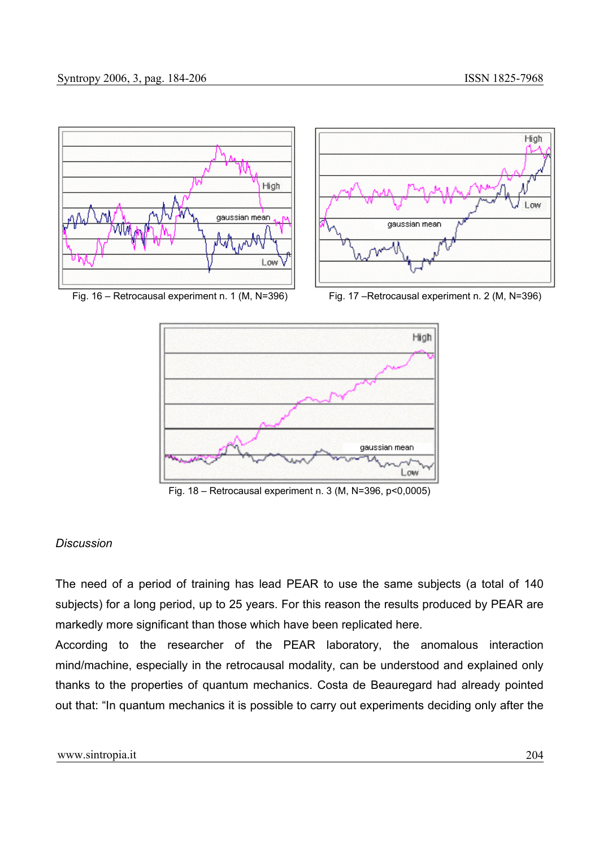

Fig. 16 – Retrocausal experiment n. 1 (M, N=396) Fig. 17 –Retrocausal experiment n. 2 (M, N=396)



Fig. 18 – Retrocausal experiment n. 3 (M, N=396, p<0,0005)

# *Discussion*

The need of a period of training has lead PEAR to use the same subjects (a total of 140 subjects) for a long period, up to 25 years. For this reason the results produced by PEAR are markedly more significant than those which have been replicated here.

According to the researcher of the PEAR laboratory, the anomalous interaction mind/machine, especially in the retrocausal modality, can be understood and explained only thanks to the properties of quantum mechanics. Costa de Beauregard had already pointed out that: "In quantum mechanics it is possible to carry out experiments deciding only after the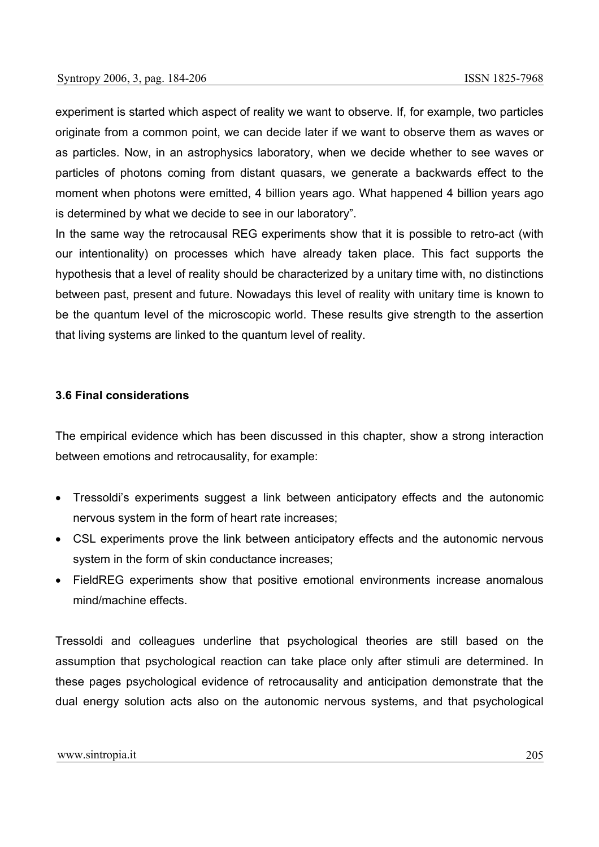experiment is started which aspect of reality we want to observe. If, for example, two particles originate from a common point, we can decide later if we want to observe them as waves or as particles. Now, in an astrophysics laboratory, when we decide whether to see waves or particles of photons coming from distant quasars, we generate a backwards effect to the moment when photons were emitted, 4 billion years ago. What happened 4 billion years ago is determined by what we decide to see in our laboratory".

In the same way the retrocausal REG experiments show that it is possible to retro-act (with our intentionality) on processes which have already taken place. This fact supports the hypothesis that a level of reality should be characterized by a unitary time with, no distinctions between past, present and future. Nowadays this level of reality with unitary time is known to be the quantum level of the microscopic world. These results give strength to the assertion that living systems are linked to the quantum level of reality.

#### **3.6 Final considerations**

The empirical evidence which has been discussed in this chapter, show a strong interaction between emotions and retrocausality, for example:

- Tressoldi's experiments suggest a link between anticipatory effects and the autonomic nervous system in the form of heart rate increases;
- CSL experiments prove the link between anticipatory effects and the autonomic nervous system in the form of skin conductance increases;
- FieldREG experiments show that positive emotional environments increase anomalous mind/machine effects.

Tressoldi and colleagues underline that psychological theories are still based on the assumption that psychological reaction can take place only after stimuli are determined. In these pages psychological evidence of retrocausality and anticipation demonstrate that the dual energy solution acts also on the autonomic nervous systems, and that psychological